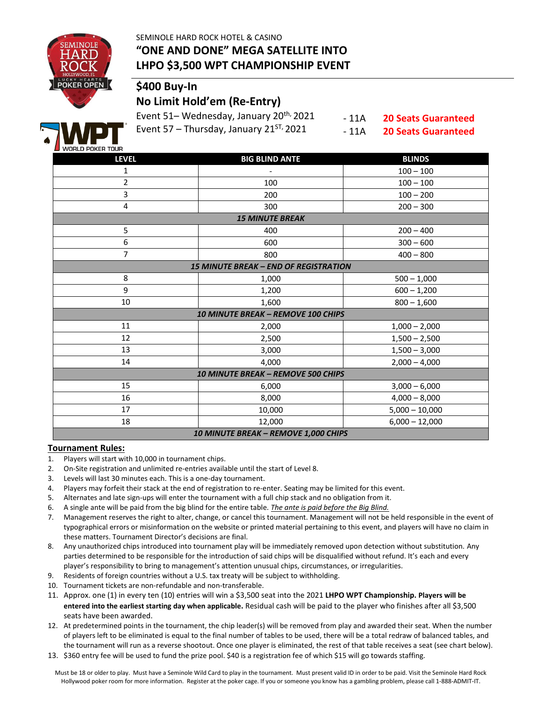SEMINOLE HARD ROCK HOTEL & CASINO



# **"ONE AND DONE" MEGA SATELLITE INTO LHPO \$3,500 WPT CHAMPIONSHIP EVENT**

# **\$400 Buy-In**

### **No Limit Hold'em (Re-Entry)**

Event 51– Wednesday, January 20<sup>th,</sup> 2021 Event 57 – Thursday, January  $21^{ST}$ , 2021

- 11A - 11A

**20 Seats Guaranteed 20 Seats Guaranteed**



| <b>LEVEL</b>                                 | <b>BIG BLIND ANTE</b> | <b>BLINDS</b>    |  |  |  |  |  |  |
|----------------------------------------------|-----------------------|------------------|--|--|--|--|--|--|
| 1                                            |                       | $100 - 100$      |  |  |  |  |  |  |
| $\overline{2}$                               | 100                   | $100 - 100$      |  |  |  |  |  |  |
| 3                                            | 200                   | $100 - 200$      |  |  |  |  |  |  |
| $\overline{\mathbf{4}}$                      | 300                   | $200 - 300$      |  |  |  |  |  |  |
| <b>15 MINUTE BREAK</b>                       |                       |                  |  |  |  |  |  |  |
| 5                                            | 400                   | $200 - 400$      |  |  |  |  |  |  |
| 6                                            | 600                   | $300 - 600$      |  |  |  |  |  |  |
| $\overline{7}$                               | 800                   | $400 - 800$      |  |  |  |  |  |  |
| <b>15 MINUTE BREAK - END OF REGISTRATION</b> |                       |                  |  |  |  |  |  |  |
| 8                                            | 1,000                 | $500 - 1,000$    |  |  |  |  |  |  |
| 9                                            | 1,200                 | $600 - 1,200$    |  |  |  |  |  |  |
| 10                                           | 1,600                 | $800 - 1,600$    |  |  |  |  |  |  |
| <b>10 MINUTE BREAK - REMOVE 100 CHIPS</b>    |                       |                  |  |  |  |  |  |  |
| 11                                           | 2,000                 | $1,000 - 2,000$  |  |  |  |  |  |  |
| 12                                           | 2,500                 | $1,500 - 2,500$  |  |  |  |  |  |  |
| 13                                           | 3,000                 | $1,500 - 3,000$  |  |  |  |  |  |  |
| 14                                           | 4,000                 | $2,000 - 4,000$  |  |  |  |  |  |  |
| <b>10 MINUTE BREAK - REMOVE 500 CHIPS</b>    |                       |                  |  |  |  |  |  |  |
| 15                                           | 6,000                 | $3,000 - 6,000$  |  |  |  |  |  |  |
| 16                                           | 8,000                 | $4,000 - 8,000$  |  |  |  |  |  |  |
| 17                                           | 10,000                | $5,000 - 10,000$ |  |  |  |  |  |  |
| 18                                           | 12,000                | $6,000 - 12,000$ |  |  |  |  |  |  |
| 10 MINUTE BREAK - REMOVE 1,000 CHIPS         |                       |                  |  |  |  |  |  |  |

#### **Tournament Rules:**

- 1. Players will start with 10,000 in tournament chips.
- 2. On-Site registration and unlimited re-entries available until the start of Level 8.
- 3. Levels will last 30 minutes each. This is a one-day tournament.
- 4. Players may forfeit their stack at the end of registration to re-enter. Seating may be limited for this event.
- 5. Alternates and late sign-ups will enter the tournament with a full chip stack and no obligation from it.
- 6. A single ante will be paid from the big blind for the entire table. *The ante is paid before the Big Blind.*
- 7. Management reserves the right to alter, change, or cancel this tournament. Management will not be held responsible in the event of typographical errors or misinformation on the website or printed material pertaining to this event, and players will have no claim in these matters. Tournament Director's decisions are final.
- 8. Any unauthorized chips introduced into tournament play will be immediately removed upon detection without substitution. Any parties determined to be responsible for the introduction of said chips will be disqualified without refund. It's each and every player's responsibility to bring to management's attention unusual chips, circumstances, or irregularities.
- 9. Residents of foreign countries without a U.S. tax treaty will be subject to withholding.
- 10. Tournament tickets are non-refundable and non-transferable.
- 11. Approx. one (1) in every ten (10) entries will win a \$3,500 seat into the 2021 **LHPO WPT Championship. Players will be entered into the earliest starting day when applicable.** Residual cash will be paid to the player who finishes after all \$3,500 seats have been awarded.
- 12. At predetermined points in the tournament, the chip leader(s) will be removed from play and awarded their seat. When the number of players left to be eliminated is equal to the final number of tables to be used, there will be a total redraw of balanced tables, and the tournament will run as a reverse shootout. Once one player is eliminated, the rest of that table receives a seat (see chart below).
- 13. \$360 entry fee will be used to fund the prize pool. \$40 is a registration fee of which \$15 will go towards staffing.